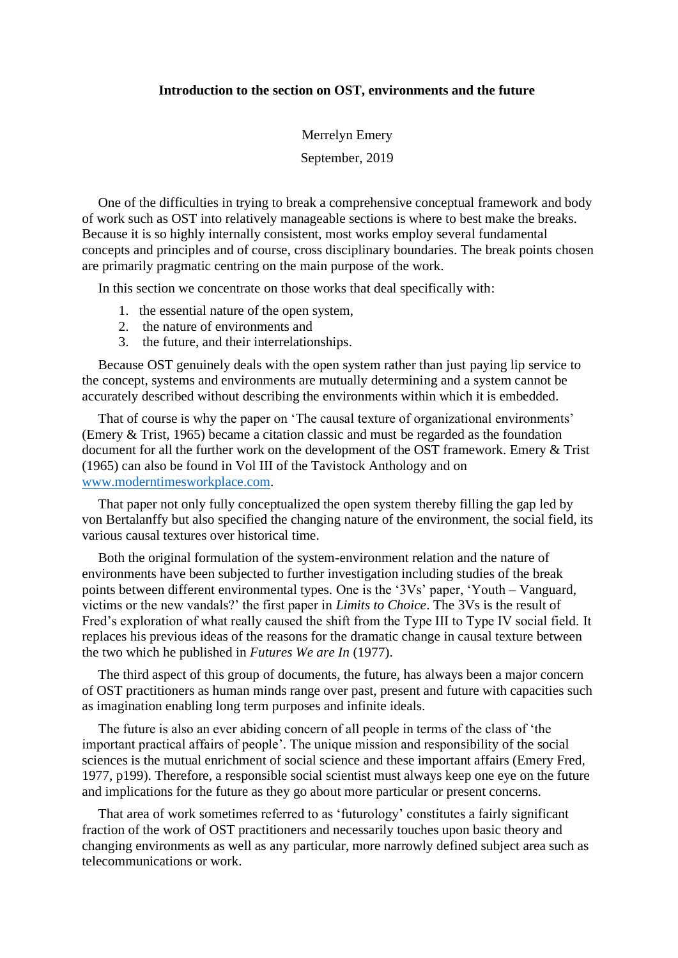## **Introduction to the section on OST, environments and the future**

Merrelyn Emery September, 2019

One of the difficulties in trying to break a comprehensive conceptual framework and body of work such as OST into relatively manageable sections is where to best make the breaks. Because it is so highly internally consistent, most works employ several fundamental concepts and principles and of course, cross disciplinary boundaries. The break points chosen are primarily pragmatic centring on the main purpose of the work.

In this section we concentrate on those works that deal specifically with:

- 1. the essential nature of the open system,
- 2. the nature of environments and
- 3. the future, and their interrelationships.

Because OST genuinely deals with the open system rather than just paying lip service to the concept, systems and environments are mutually determining and a system cannot be accurately described without describing the environments within which it is embedded.

That of course is why the paper on 'The causal texture of organizational environments' (Emery & Trist, 1965) became a citation classic and must be regarded as the foundation document for all the further work on the development of the OST framework. Emery & Trist (1965) can also be found in Vol III of the Tavistock Anthology and on [www.moderntimesworkplace.com.](http://www.moderntimesworkplace.com/)

That paper not only fully conceptualized the open system thereby filling the gap led by von Bertalanffy but also specified the changing nature of the environment, the social field, its various causal textures over historical time.

Both the original formulation of the system-environment relation and the nature of environments have been subjected to further investigation including studies of the break points between different environmental types. One is the '3Vs' paper, 'Youth – Vanguard, victims or the new vandals?' the first paper in *Limits to Choice*. The 3Vs is the result of Fred's exploration of what really caused the shift from the Type III to Type IV social field. It replaces his previous ideas of the reasons for the dramatic change in causal texture between the two which he published in *Futures We are In* (1977).

The third aspect of this group of documents, the future, has always been a major concern of OST practitioners as human minds range over past, present and future with capacities such as imagination enabling long term purposes and infinite ideals.

The future is also an ever abiding concern of all people in terms of the class of 'the important practical affairs of people'. The unique mission and responsibility of the social sciences is the mutual enrichment of social science and these important affairs (Emery Fred, 1977, p199). Therefore, a responsible social scientist must always keep one eye on the future and implications for the future as they go about more particular or present concerns.

That area of work sometimes referred to as 'futurology' constitutes a fairly significant fraction of the work of OST practitioners and necessarily touches upon basic theory and changing environments as well as any particular, more narrowly defined subject area such as telecommunications or work.